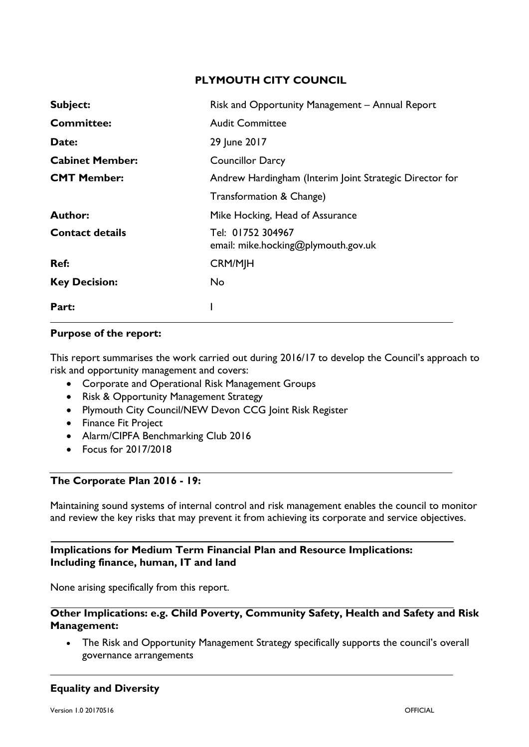## **PLYMOUTH CITY COUNCIL**

| Subject:               | Risk and Opportunity Management - Annual Report          |
|------------------------|----------------------------------------------------------|
| <b>Committee:</b>      | <b>Audit Committee</b>                                   |
| Date:                  | 29 June 2017                                             |
| <b>Cabinet Member:</b> | <b>Councillor Darcy</b>                                  |
| <b>CMT Member:</b>     | Andrew Hardingham (Interim Joint Strategic Director for  |
|                        | Transformation & Change)                                 |
| <b>Author:</b>         | Mike Hocking, Head of Assurance                          |
| <b>Contact details</b> | Tel: 01752 304967<br>email: mike.hocking@plymouth.gov.uk |
| Ref:                   | <b>CRM/MJH</b>                                           |
| <b>Key Decision:</b>   | No.                                                      |
| Part:                  |                                                          |

#### **Purpose of the report:**

This report summarises the work carried out during 2016/17 to develop the Council's approach to risk and opportunity management and covers:

- Corporate and Operational Risk Management Groups
- Risk & Opportunity Management Strategy
- Plymouth City Council/NEW Devon CCG Joint Risk Register
- Finance Fit Project
- Alarm/CIPFA Benchmarking Club 2016
- Focus for 2017/2018

### **The Corporate Plan 2016 - 19:**

Maintaining sound systems of internal control and risk management enables the council to monitor and review the key risks that may prevent it from achieving its corporate and service objectives.

## **Implications for Medium Term Financial Plan and Resource Implications: Including finance, human, IT and land**

None arising specifically from this report.

#### **Other Implications: e.g. Child Poverty, Community Safety, Health and Safety and Risk Management:**

• The Risk and Opportunity Management Strategy specifically supports the council's overall governance arrangements

# **Equality and Diversity**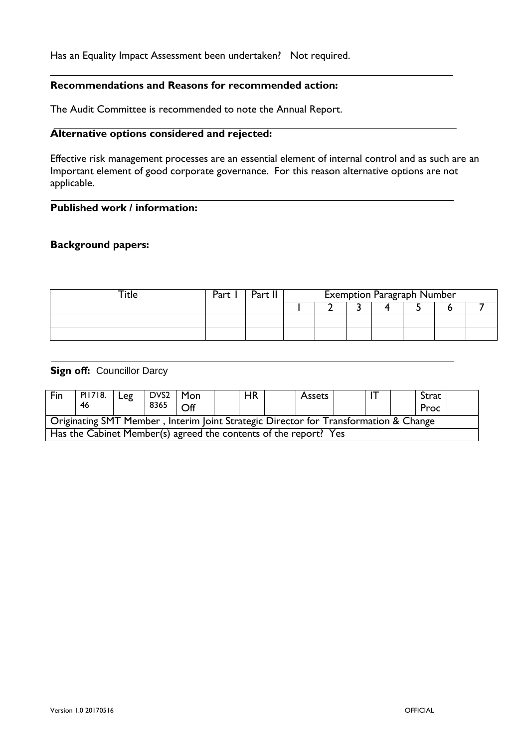#### Has an Equality Impact Assessment been undertaken? Not required.

### **Recommendations and Reasons for recommended action:**

The Audit Committee is recommended to note the Annual Report.

#### **Alternative options considered and rejected:**

Effective risk management processes are an essential element of internal control and as such are an Important element of good corporate governance. For this reason alternative options are not applicable.

## **Published work / information:**

#### **Background papers:**

| -itle | Part | Part II | <b>Exemption Paragraph Number</b> |  |  |  |  |  |  |  |
|-------|------|---------|-----------------------------------|--|--|--|--|--|--|--|
|       |      |         |                                   |  |  |  |  |  |  |  |
|       |      |         |                                   |  |  |  |  |  |  |  |
|       |      |         |                                   |  |  |  |  |  |  |  |

#### **Sign off: Councillor Darcy**

| Fin                                                                                  | PI1718. | $ $ Leg | $DVS2$   Mon |                     |  | <b>HR</b> |  | Assets |  |  | Strat |  |
|--------------------------------------------------------------------------------------|---------|---------|--------------|---------------------|--|-----------|--|--------|--|--|-------|--|
|                                                                                      | 46      |         | 8365         | $\bigcap_{i=1}^{n}$ |  |           |  |        |  |  | Proc  |  |
| Originating SMT Member, Interim Joint Strategic Director for Transformation & Change |         |         |              |                     |  |           |  |        |  |  |       |  |
| Has the Cabinet Member(s) agreed the contents of the report? Yes                     |         |         |              |                     |  |           |  |        |  |  |       |  |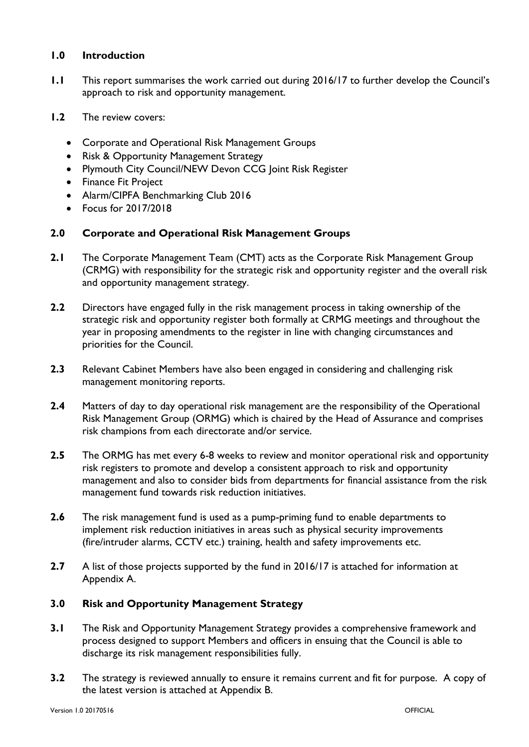## **1.0 Introduction**

- **1.1** This report summarises the work carried out during 2016/17 to further develop the Council's approach to risk and opportunity management.
- **1.2** The review covers:
	- Corporate and Operational Risk Management Groups
	- Risk & Opportunity Management Strategy
	- Plymouth City Council/NEW Devon CCG Joint Risk Register
	- Finance Fit Project
	- Alarm/CIPFA Benchmarking Club 2016
	- Focus for 2017/2018

### **2.0 Corporate and Operational Risk Management Groups**

- **2.1** The Corporate Management Team (CMT) acts as the Corporate Risk Management Group (CRMG) with responsibility for the strategic risk and opportunity register and the overall risk and opportunity management strategy.
- **2.2** Directors have engaged fully in the risk management process in taking ownership of the strategic risk and opportunity register both formally at CRMG meetings and throughout the year in proposing amendments to the register in line with changing circumstances and priorities for the Council.
- **2.3** Relevant Cabinet Members have also been engaged in considering and challenging risk management monitoring reports.
- **2.4** Matters of day to day operational risk management are the responsibility of the Operational Risk Management Group (ORMG) which is chaired by the Head of Assurance and comprises risk champions from each directorate and/or service.
- **2.5** The ORMG has met every 6-8 weeks to review and monitor operational risk and opportunity risk registers to promote and develop a consistent approach to risk and opportunity management and also to consider bids from departments for financial assistance from the risk management fund towards risk reduction initiatives.
- **2.6** The risk management fund is used as a pump-priming fund to enable departments to implement risk reduction initiatives in areas such as physical security improvements (fire/intruder alarms, CCTV etc.) training, health and safety improvements etc.
- **2.7** A list of those projects supported by the fund in 2016/17 is attached for information at Appendix A.

# **3.0 Risk and Opportunity Management Strategy**

- **3.1** The Risk and Opportunity Management Strategy provides a comprehensive framework and process designed to support Members and officers in ensuing that the Council is able to discharge its risk management responsibilities fully.
- **3.2** The strategy is reviewed annually to ensure it remains current and fit for purpose. A copy of the latest version is attached at Appendix B.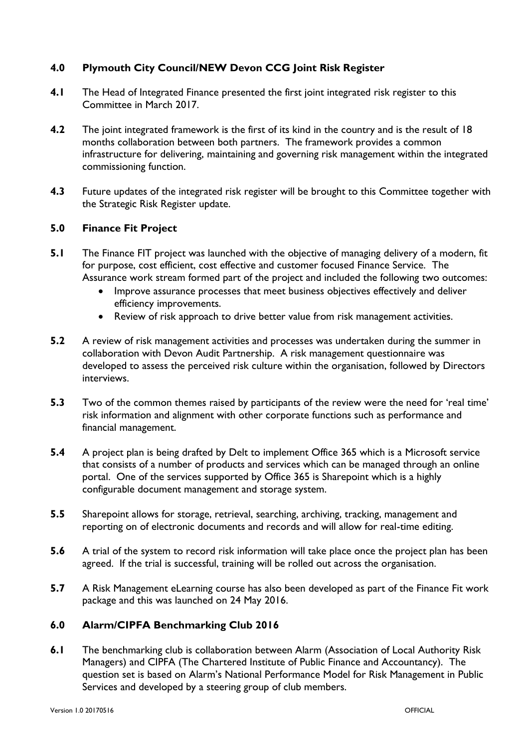# **4.0 Plymouth City Council/NEW Devon CCG Joint Risk Register**

- **4.1** The Head of Integrated Finance presented the first joint integrated risk register to this Committee in March 2017.
- **4.2** The joint integrated framework is the first of its kind in the country and is the result of 18 months collaboration between both partners. The framework provides a common infrastructure for delivering, maintaining and governing risk management within the integrated commissioning function.
- **4.3** Future updates of the integrated risk register will be brought to this Committee together with the Strategic Risk Register update.

# **5.0 Finance Fit Project**

- **5.1** The Finance FIT project was launched with the objective of managing delivery of a modern, fit for purpose, cost efficient, cost effective and customer focused Finance Service. The Assurance work stream formed part of the project and included the following two outcomes:
	- Improve assurance processes that meet business objectives effectively and deliver efficiency improvements.
	- Review of risk approach to drive better value from risk management activities.
- **5.2** A review of risk management activities and processes was undertaken during the summer in collaboration with Devon Audit Partnership. A risk management questionnaire was developed to assess the perceived risk culture within the organisation, followed by Directors interviews.
- **5.3** Two of the common themes raised by participants of the review were the need for 'real time' risk information and alignment with other corporate functions such as performance and financial management.
- **5.4** A project plan is being drafted by Delt to implement Office 365 which is a Microsoft service that consists of a number of products and services which can be managed through an online portal. One of the services supported by Office 365 is Sharepoint which is a highly configurable document management and storage system.
- **5.5** Sharepoint allows for storage, retrieval, searching, archiving, tracking, management and reporting on of electronic documents and records and will allow for real-time editing.
- **5.6** A trial of the system to record risk information will take place once the project plan has been agreed. If the trial is successful, training will be rolled out across the organisation.
- **5.7** A Risk Management eLearning course has also been developed as part of the Finance Fit work package and this was launched on 24 May 2016.

# **6.0 Alarm/CIPFA Benchmarking Club 2016**

**6.1** The benchmarking club is collaboration between Alarm (Association of Local Authority Risk Managers) and CIPFA (The Chartered Institute of Public Finance and Accountancy). The question set is based on Alarm's National Performance Model for Risk Management in Public Services and developed by a steering group of club members.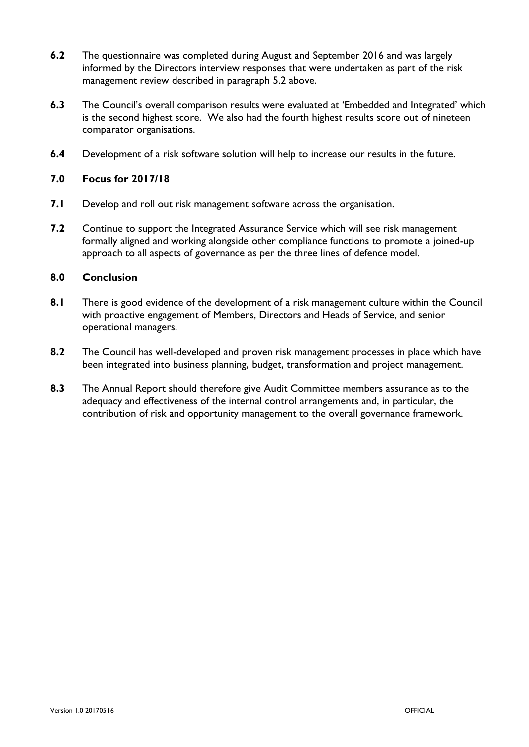- **6.2** The questionnaire was completed during August and September 2016 and was largely informed by the Directors interview responses that were undertaken as part of the risk management review described in paragraph 5.2 above.
- **6.3** The Council's overall comparison results were evaluated at 'Embedded and Integrated' which is the second highest score. We also had the fourth highest results score out of nineteen comparator organisations.
- **6.4** Development of a risk software solution will help to increase our results in the future.

### **7.0 Focus for 2017/18**

- **7.1** Develop and roll out risk management software across the organisation.
- **7.2** Continue to support the Integrated Assurance Service which will see risk management formally aligned and working alongside other compliance functions to promote a joined-up approach to all aspects of governance as per the three lines of defence model.

### **8.0 Conclusion**

- **8.1** There is good evidence of the development of a risk management culture within the Council with proactive engagement of Members, Directors and Heads of Service, and senior operational managers.
- **8.2** The Council has well-developed and proven risk management processes in place which have been integrated into business planning, budget, transformation and project management.
- **8.3** The Annual Report should therefore give Audit Committee members assurance as to the adequacy and effectiveness of the internal control arrangements and, in particular, the contribution of risk and opportunity management to the overall governance framework.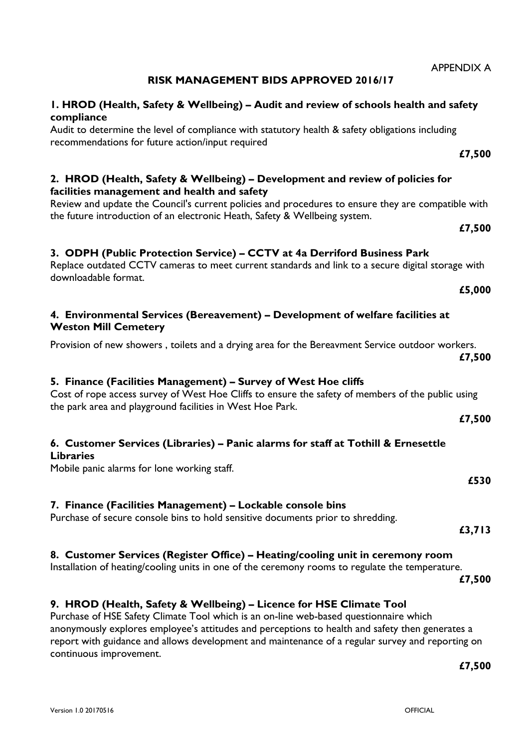# **RISK MANAGEMENT BIDS APPROVED 2016/17**

## **1. HROD (Health, Safety & Wellbeing) – Audit and review of schools health and safety compliance**

Audit to determine the level of compliance with statutory health & safety obligations including recommendations for future action/input required

# **2. HROD (Health, Safety & Wellbeing) – Development and review of policies for facilities management and health and safety**

Review and update the Council's current policies and procedures to ensure they are compatible with the future introduction of an electronic Heath, Safety & Wellbeing system.

# **3. ODPH (Public Protection Service) – CCTV at 4a Derriford Business Park**

## Replace outdated CCTV cameras to meet current standards and link to a secure digital storage with downloadable format.

## **4. Environmental Services (Bereavement) – Development of welfare facilities at Weston Mill Cemetery**

Provision of new showers , toilets and a drying area for the Bereavment Service outdoor workers. **£7,500**

# **5. Finance (Facilities Management) – Survey of West Hoe cliffs**

## Cost of rope access survey of West Hoe Cliffs to ensure the safety of members of the public using the park area and playground facilities in West Hoe Park.

# **6. Customer Services (Libraries) – Panic alarms for staff at Tothill & Ernesettle Libraries**

Mobile panic alarms for lone working staff.

# **7. Finance (Facilities Management) – Lockable console bins**

Purchase of secure console bins to hold sensitive documents prior to shredding.

# **8. Customer Services (Register Office) – Heating/cooling unit in ceremony room**

Installation of heating/cooling units in one of the ceremony rooms to regulate the temperature.

**£7,500**

# **9. HROD (Health, Safety & Wellbeing) – Licence for HSE Climate Tool**

Purchase of HSE Safety Climate Tool which is an on-line web-based questionnaire which anonymously explores employee's attitudes and perceptions to health and safety then generates a report with guidance and allows development and maintenance of a regular survey and reporting on continuous improvement.

**£7,500**

**£5,000**

**£7,500**

**£7,500**

**£530**

**£7,500**

**£3,713**